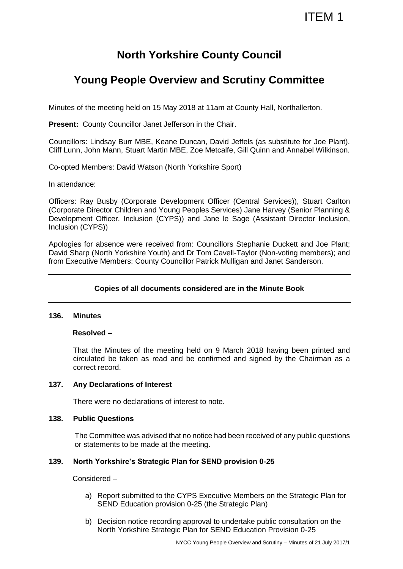# **North Yorkshire County Council**

# **Young People Overview and Scrutiny Committee**

Minutes of the meeting held on 15 May 2018 at 11am at County Hall, Northallerton.

**Present:** County Councillor Janet Jefferson in the Chair.

Councillors: Lindsay Burr MBE, Keane Duncan, David Jeffels (as substitute for Joe Plant), Cliff Lunn, John Mann, Stuart Martin MBE, Zoe Metcalfe, Gill Quinn and Annabel Wilkinson.

Co-opted Members: David Watson (North Yorkshire Sport)

In attendance:

Officers: Ray Busby (Corporate Development Officer (Central Services)), Stuart Carlton (Corporate Director Children and Young Peoples Services) Jane Harvey (Senior Planning & Development Officer, Inclusion (CYPS)) and Jane le Sage (Assistant Director Inclusion, Inclusion (CYPS))

Apologies for absence were received from: Councillors Stephanie Duckett and Joe Plant; David Sharp (North Yorkshire Youth) and Dr Tom Cavell-Taylor (Non-voting members); and from Executive Members: County Councillor Patrick Mulligan and Janet Sanderson.

## **Copies of all documents considered are in the Minute Book**

#### **136. Minutes**

#### **Resolved –**

That the Minutes of the meeting held on 9 March 2018 having been printed and circulated be taken as read and be confirmed and signed by the Chairman as a correct record.

## **137. Any Declarations of Interest**

There were no declarations of interest to note.

## **138. Public Questions**

The Committee was advised that no notice had been received of any public questions or statements to be made at the meeting.

## **139. North Yorkshire's Strategic Plan for SEND provision 0-25**

Considered –

- a) Report submitted to the CYPS Executive Members on the Strategic Plan for SEND Education provision 0-25 (the Strategic Plan)
- b) Decision notice recording approval to undertake public consultation on the North Yorkshire Strategic Plan for SEND Education Provision 0-25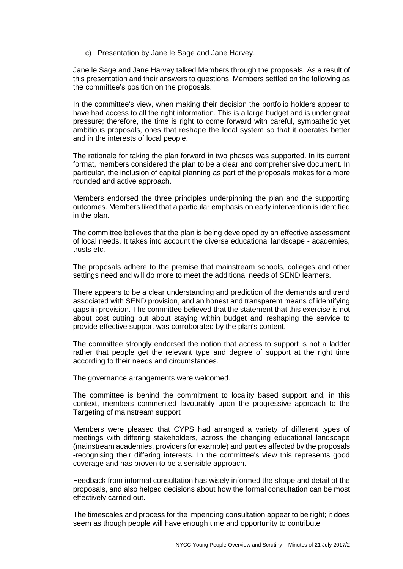c) Presentation by Jane le Sage and Jane Harvey.

Jane le Sage and Jane Harvey talked Members through the proposals. As a result of this presentation and their answers to questions, Members settled on the following as the committee's position on the proposals.

In the committee's view, when making their decision the portfolio holders appear to have had access to all the right information. This is a large budget and is under great pressure; therefore, the time is right to come forward with careful, sympathetic yet ambitious proposals, ones that reshape the local system so that it operates better and in the interests of local people.

The rationale for taking the plan forward in two phases was supported. In its current format, members considered the plan to be a clear and comprehensive document. In particular, the inclusion of capital planning as part of the proposals makes for a more rounded and active approach.

Members endorsed the three principles underpinning the plan and the supporting outcomes. Members liked that a particular emphasis on early intervention is identified in the plan.

The committee believes that the plan is being developed by an effective assessment of local needs. It takes into account the diverse educational landscape - academies, trusts etc.

The proposals adhere to the premise that mainstream schools, colleges and other settings need and will do more to meet the additional needs of SEND learners.

There appears to be a clear understanding and prediction of the demands and trend associated with SEND provision, and an honest and transparent means of identifying gaps in provision. The committee believed that the statement that this exercise is not about cost cutting but about staying within budget and reshaping the service to provide effective support was corroborated by the plan's content.

The committee strongly endorsed the notion that access to support is not a ladder rather that people get the relevant type and degree of support at the right time according to their needs and circumstances.

The governance arrangements were welcomed.

The committee is behind the commitment to locality based support and, in this context, members commented favourably upon the progressive approach to the Targeting of mainstream support

Members were pleased that CYPS had arranged a variety of different types of meetings with differing stakeholders, across the changing educational landscape (mainstream academies, providers for example) and parties affected by the proposals -recognising their differing interests. In the committee's view this represents good coverage and has proven to be a sensible approach.

Feedback from informal consultation has wisely informed the shape and detail of the proposals, and also helped decisions about how the formal consultation can be most effectively carried out.

The timescales and process for the impending consultation appear to be right; it does seem as though people will have enough time and opportunity to contribute